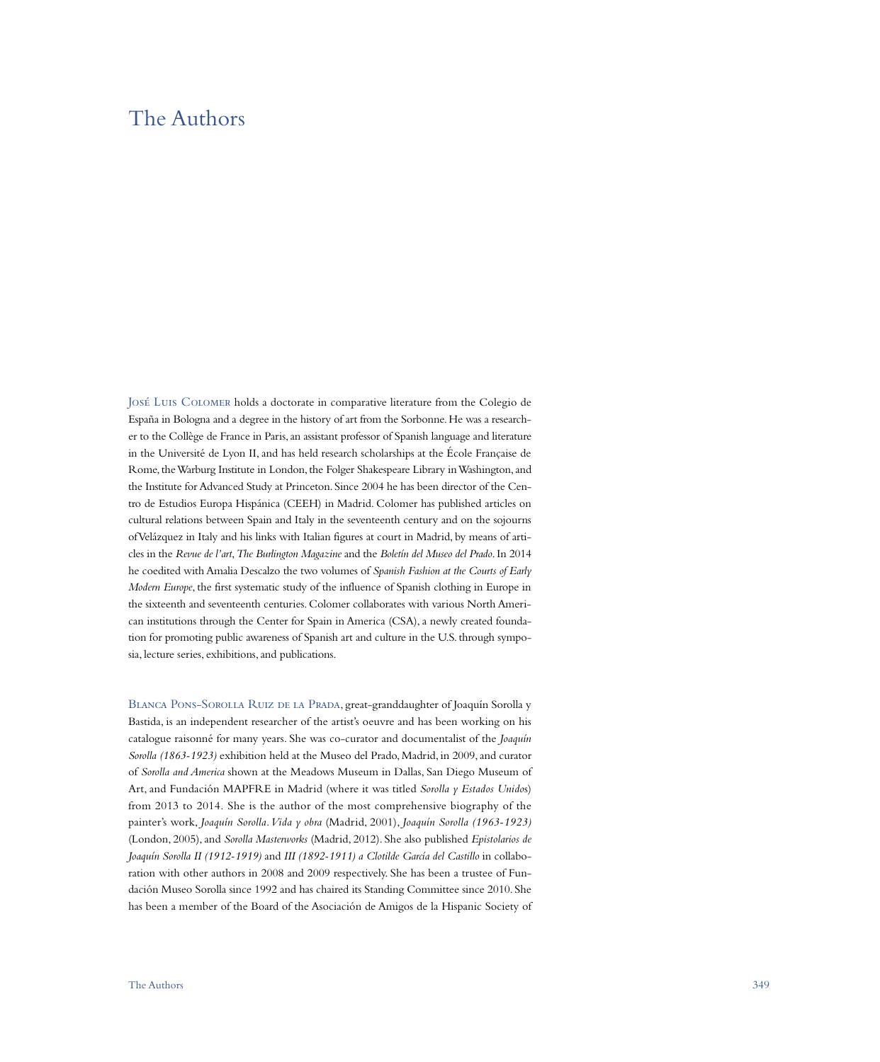## The Authors

José Luis Colomer holds a doctorate in comparative literature from the Colegio de España in Bologna and a degree in the history of art from the Sorbonne. He was a researcher to the Collège de France in Paris, an assistant professor of Spanish language and literature in the Université de Lyon II, and has held research scholarships at the École Française de Rome, the Warburg Institute in London, the Folger Shakespeare Library in Washington, and the Institute for Advanced Study at Princeton. Since 2004 he has been director of the Centro de Estudios Europa Hispánica (CEEH) in Madrid. Colomer has published articles on cultural relations between Spain and Italy in the seventeenth century and on the sojourns of Velázquez in Italy and his links with Italian figures at court in Madrid, by means of articles in the *Revue de l'art*, *The Burlington Magazine* and the *Boletín del Museo del Prado*. In 2014 he coedited with Amalia Descalzo the two volumes of *Spanish Fashion at the Courts of Early Modern Europe*, the first systematic study of the influence of Spanish clothing in Europe in the sixteenth and seventeenth centuries. Colomer collaborates with various North American institutions through the Center for Spain in America (CSA), a newly created foundation for promoting public awareness of Spanish art and culture in the U.S. through symposia, lecture series, exhibitions, and publications.

BLANCA PONS-SOROLLA RUIZ DE LA PRADA, great-granddaughter of Joaquín Sorolla y Bastida, is an independent researcher of the artist's oeuvre and has been working on his catalogue raisonné for many years. She was co-curator and documentalist of the *Joaquín Sorolla (1863-1923)* exhibition held at the Museo del Prado, Madrid, in 2009, and curator of *Sorolla and America* shown at the Meadows Museum in Dallas, San Diego Museum of Art, and Fundación MAPFRE in Madrid (where it was titled *Sorolla y Estados Unido*s) from 2013 to 2014. She is the author of the most comprehensive biography of the painter's work, *Joaquín Sorolla. Vida y obra* (Madrid, 2001), *Joaquín Sorolla (1963-1923)*  (London, 2005), and *Sorolla Masterworks* (Madrid, 2012). She also published *Epistolarios de Joaquín Sorolla II (1912-1919)* and *III (1892-1911) a Clotilde García del Castillo* in collaboration with other authors in 2008 and 2009 respectively. She has been a trustee of Fundación Museo Sorolla since 1992 and has chaired its Standing Committee since 2010. She has been a member of the Board of the Asociación de Amigos de la Hispanic Society of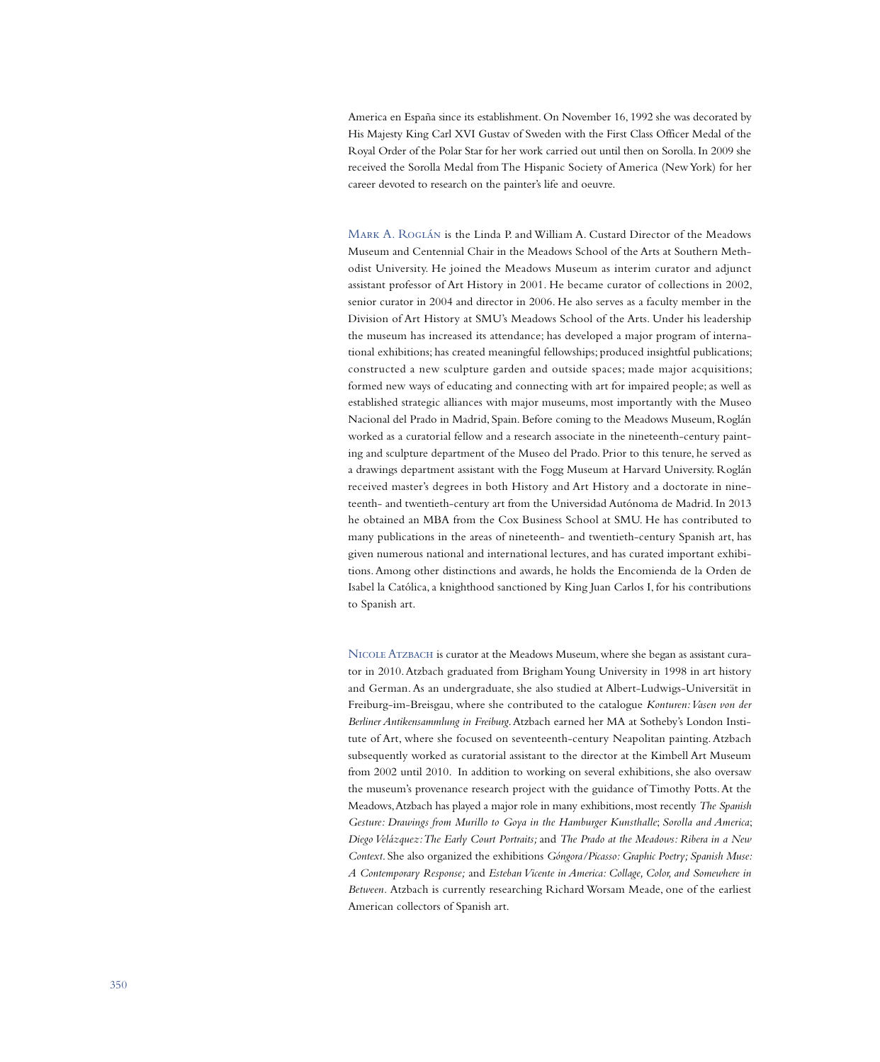America en España since its establishment. On November 16, 1992 she was decorated by His Majesty King Carl XVI Gustav of Sweden with the First Class Officer Medal of the Royal Order of the Polar Star for her work carried out until then on Sorolla. In 2009 she received the Sorolla Medal from The Hispanic Society of America (New York) for her career devoted to research on the painter's life and oeuvre.

Mark A. Roglán is the Linda P. and William A. Custard Director of the Meadows Museum and Centennial Chair in the Meadows School of the Arts at Southern Methodist University. He joined the Meadows Museum as interim curator and adjunct assistant professor of Art History in 2001. He became curator of collections in 2002, senior curator in 2004 and director in 2006. He also serves as a faculty member in the Division of Art History at SMU's Meadows School of the Arts. Under his leadership the museum has increased its attendance; has developed a major program of international exhibitions; has created meaningful fellowships; produced insightful publications; constructed a new sculpture garden and outside spaces; made major acquisitions; formed new ways of educating and connecting with art for impaired people; as well as established strategic alliances with major museums, most importantly with the Museo Nacional del Prado in Madrid, Spain. Before coming to the Meadows Museum, Roglán worked as a curatorial fellow and a research associate in the nineteenth-century painting and sculpture department of the Museo del Prado. Prior to this tenure, he served as a drawings department assistant with the Fogg Museum at Harvard University. Roglán received master's degrees in both History and Art History and a doctorate in nineteenth- and twentieth-century art from the Universidad Autónoma de Madrid. In 2013 he obtained an MBA from the Cox Business School at SMU. He has contributed to many publications in the areas of nineteenth- and twentieth-century Spanish art, has given numerous national and international lectures, and has curated important exhibitions. Among other distinctions and awards, he holds the Encomienda de la Orden de Isabel la Católica, a knighthood sanctioned by King Juan Carlos I, for his contributions to Spanish art.

Nicole Atzbach is curator at the Meadows Museum, where she began as assistant curator in 2010. Atzbach graduated from Brigham Young University in 1998 in art history and German. As an undergraduate, she also studied at Albert-Ludwigs-Universität in Freiburg-im-Breisgau, where she contributed to the catalogue *Konturen: Vasen von der Berliner Antikensammlung in Freiburg*. Atzbach earned her MA at Sotheby's London Institute of Art, where she focused on seventeenth-century Neapolitan painting. Atzbach subsequently worked as curatorial assistant to the director at the Kimbell Art Museum from 2002 until 2010. In addition to working on several exhibitions, she also oversaw the museum's provenance research project with the guidance of Timothy Potts. At the Meadows, Atzbach has played a major role in many exhibitions, most recently *The Spanish Gesture: Drawings from Murillo to Goya in the Hamburger Kunsthalle*; *Sorolla and America*; *Diego Velázquez: The Early Court Portraits;* and *The Prado at the Meadows: Ribera in a New Context*. She also organized the exhibitions *Góngora/Picasso: Graphic Poetry; Spanish Muse: A Contemporary Response;* and *Esteban Vicente in America: Collage, Color, and Somewhere in Between.* Atzbach is currently researching Richard Worsam Meade, one of the earliest American collectors of Spanish art.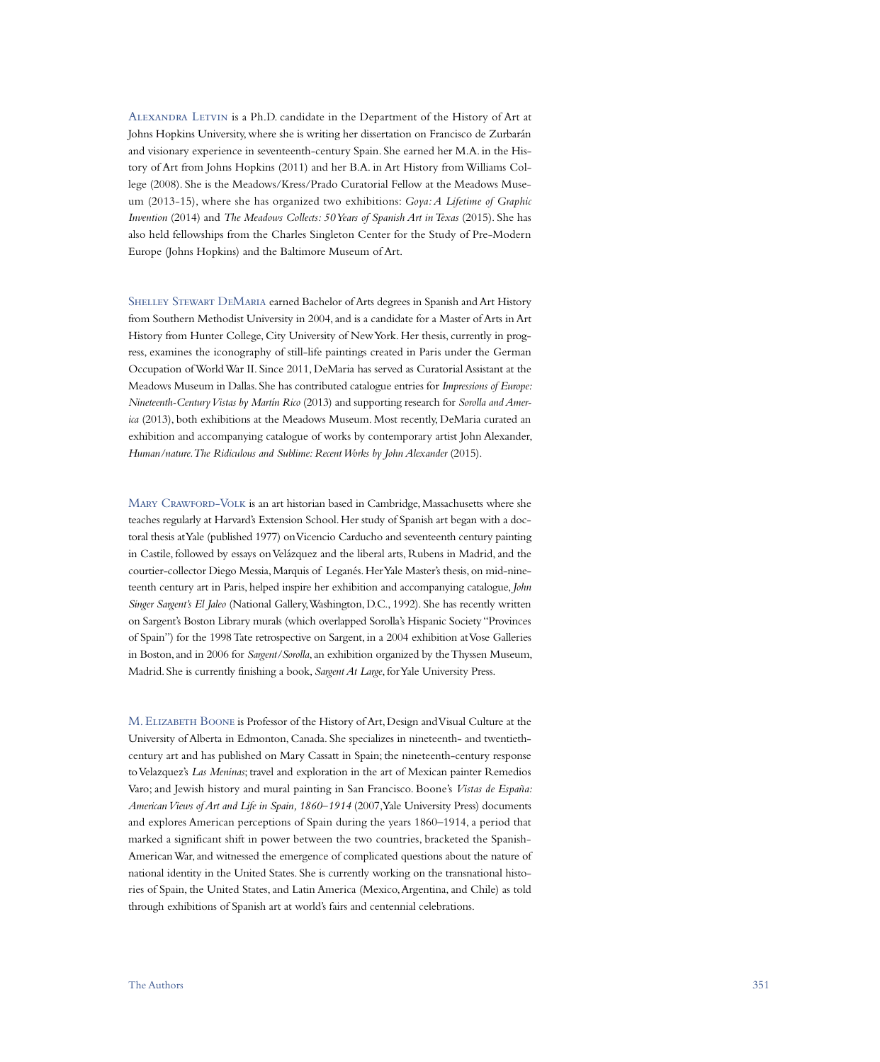Alexandra Letvin is a Ph.D. candidate in the Department of the History of Art at Johns Hopkins University, where she is writing her dissertation on Francisco de Zurbarán and visionary experience in seventeenth-century Spain. She earned her M.A. in the History of Art from Johns Hopkins (2011) and her B.A. in Art History from Williams College (2008). She is the Meadows/Kress/Prado Curatorial Fellow at the Meadows Museum (2013-15), where she has organized two exhibitions: *Goya: A Lifetime of Graphic Invention* (2014) and *The Meadows Collects: 50 Years of Spanish Art in Texas* (2015). She has also held fellowships from the Charles Singleton Center for the Study of Pre-Modern Europe (Johns Hopkins) and the Baltimore Museum of Art.

SHELLEY STEWART DEMARIA earned Bachelor of Arts degrees in Spanish and Art History from Southern Methodist University in 2004, and is a candidate for a Master of Arts in Art History from Hunter College, City University of New York. Her thesis, currently in progress, examines the iconography of still-life paintings created in Paris under the German Occupation of World War II. Since 2011, DeMaria has served as Curatorial Assistant at the Meadows Museum in Dallas. She has contributed catalogue entries for *Impressions of Europe: Nineteenth-Century Vistas by Martín Rico* (2013) and supporting research for *Sorolla and America* (2013), both exhibitions at the Meadows Museum. Most recently, DeMaria curated an exhibition and accompanying catalogue of works by contemporary artist John Alexander, *Human/nature. The Ridiculous and Sublime: Recent Works by John Alexander (2015).* 

MARY CRAWFORD-VOLK is an art historian based in Cambridge, Massachusetts where she teaches regularly at Harvard's Extension School. Her study of Spanish art began with a doctoral thesis at Yale (published 1977) on Vicencio Carducho and seventeenth century painting in Castile, followed by essays on Velázquez and the liberal arts, Rubens in Madrid, and the courtier-collector Diego Messia, Marquis of Leganés. Her Yale Master's thesis, on mid-nineteenth century art in Paris, helped inspire her exhibition and accompanying catalogue, *John Singer Sargent's El Jaleo* (National Gallery, Washington, D.C., 1992). She has recently written on Sargent's Boston Library murals (which overlapped Sorolla's Hispanic Society "Provinces of Spain") for the 1998 Tate retrospective on Sargent, in a 2004 exhibition at Vose Galleries in Boston, and in 2006 for *Sargent/Sorolla*, an exhibition organized by the Thyssen Museum, Madrid. She is currently finishing a book, *Sargent At Large*, for Yale University Press.

M. ELIZABETH BOONE is Professor of the History of Art, Design and Visual Culture at the University of Alberta in Edmonton, Canada. She specializes in nineteenth- and twentiethcentury art and has published on Mary Cassatt in Spain; the nineteenth-century response to Velazquez's *Las Meninas*; travel and exploration in the art of Mexican painter Remedios Varo; and Jewish history and mural painting in San Francisco. Boone's *Vistas de España: American Views of Art and Life in Spain, 1860*–*1914* (2007, Yale University Press) documents and explores American perceptions of Spain during the years 1860–1914, a period that marked a significant shift in power between the two countries, bracketed the Spanish-American War, and witnessed the emergence of complicated questions about the nature of national identity in the United States. She is currently working on the transnational histories of Spain, the United States, and Latin America (Mexico, Argentina, and Chile) as told through exhibitions of Spanish art at world's fairs and centennial celebrations.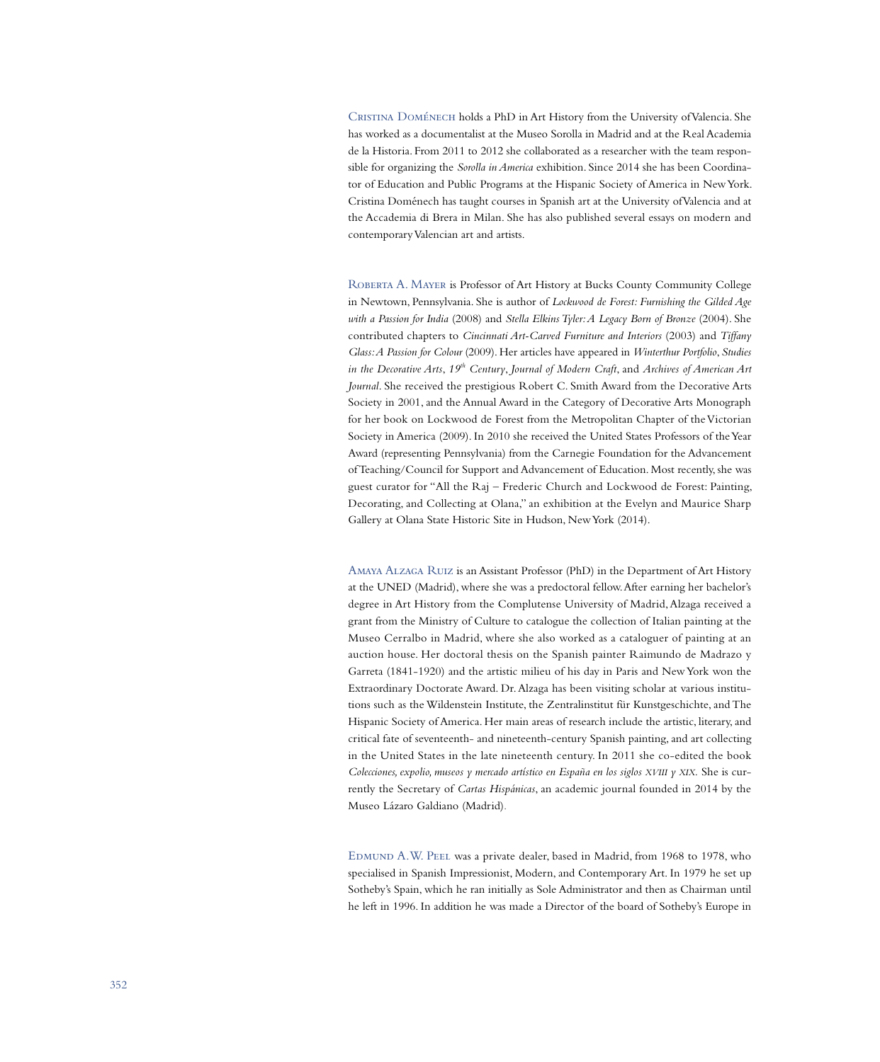Cristina Doménech holds a PhD in Art History from the University of Valencia. She has worked as a documentalist at the Museo Sorolla in Madrid and at the Real Academia de la Historia. From 2011 to 2012 she collaborated as a researcher with the team responsible for organizing the *Sorolla in America* exhibition. Since 2014 she has been Coordinator of Education and Public Programs at the Hispanic Society of America in New York. Cristina Doménech has taught courses in Spanish art at the University of Valencia and at the Accademia di Brera in Milan. She has also published several essays on modern and contemporary Valencian art and artists.

Roberta A. Mayer is Professor of Art History at Bucks County Community College in Newtown, Pennsylvania. She is author of *Lockwood de Forest: Furnishing the Gilded Age with a Passion for India* (2008) and *Stella Elkins Tyler: A Legacy Born of Bronze* (2004). She contributed chapters to *Cincinnati Art-Carved Furniture and Interiors* (2003) and *Tiffany Glass: A Passion for Colour* (2009). Her articles have appeared in *Winterthur Portfolio*, *Studies in the Decorative Arts*, *19th Century*, *Journal of Modern Craft*, and *Archives of American Art Journal*. She received the prestigious Robert C. Smith Award from the Decorative Arts Society in 2001, and the Annual Award in the Category of Decorative Arts Monograph for her book on Lockwood de Forest from the Metropolitan Chapter of the Victorian Society in America (2009). In 2010 she received the United States Professors of the Year Award (representing Pennsylvania) from the Carnegie Foundation for the Advancement of Teaching/Council for Support and Advancement of Education. Most recently, she was guest curator for "All the Raj – Frederic Church and Lockwood de Forest: Painting, Decorating, and Collecting at Olana," an exhibition at the Evelyn and Maurice Sharp Gallery at Olana State Historic Site in Hudson, New York (2014).

Amaya Alzaga Ruiz is an Assistant Professor (PhD) in the Department of Art History at the UNED (Madrid), where she was a predoctoral fellow. After earning her bachelor's degree in Art History from the Complutense University of Madrid, Alzaga received a grant from the Ministry of Culture to catalogue the collection of Italian painting at the Museo Cerralbo in Madrid, where she also worked as a cataloguer of painting at an auction house. Her doctoral thesis on the Spanish painter Raimundo de Madrazo y Garreta (1841-1920) and the artistic milieu of his day in Paris and New York won the Extraordinary Doctorate Award. Dr. Alzaga has been visiting scholar at various institutions such as the Wildenstein Institute, the Zentralinstitut für Kunstgeschichte, and The Hispanic Society of America. Her main areas of research include the artistic, literary, and critical fate of seventeenth- and nineteenth-century Spanish painting, and art collecting in the United States in the late nineteenth century. In 2011 she co-edited the book *Colecciones, expolio, museos y mercado artístico en España en los siglos xviii y xix.* She is currently the Secretary of *Cartas Hispánicas*, an academic journal founded in 2014 by the Museo Lázaro Galdiano (Madrid).

EDMUND A.W. PEEL was a private dealer, based in Madrid, from 1968 to 1978, who specialised in Spanish Impressionist, Modern, and Contemporary Art. In 1979 he set up Sotheby's Spain, which he ran initially as Sole Administrator and then as Chairman until he left in 1996. In addition he was made a Director of the board of Sotheby's Europe in